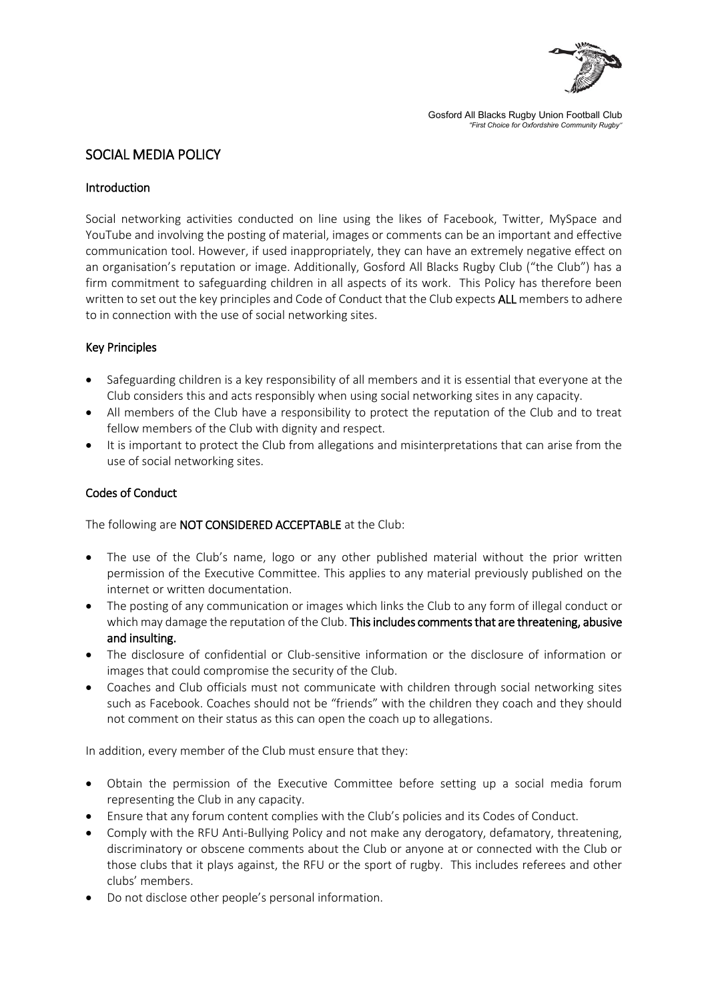

Gosford All Blacks Rugby Union Football Club *"First Choice for Oxfordshire Community Rugby"*

# SOCIAL MEDIA POLICY

## Introduction

Social networking activities conducted on line using the likes of Facebook, Twitter, MySpace and YouTube and involving the posting of material, images or comments can be an important and effective communication tool. However, if used inappropriately, they can have an extremely negative effect on an organisation's reputation or image. Additionally, Gosford All Blacks Rugby Club ("the Club") has a firm commitment to safeguarding children in all aspects of its work. This Policy has therefore been written to set out the key principles and Code of Conduct that the Club expects ALL members to adhere to in connection with the use of social networking sites.

### Key Principles

- Safeguarding children is a key responsibility of all members and it is essential that everyone at the Club considers this and acts responsibly when using social networking sites in any capacity.
- All members of the Club have a responsibility to protect the reputation of the Club and to treat fellow members of the Club with dignity and respect.
- It is important to protect the Club from allegations and misinterpretations that can arise from the use of social networking sites.

### Codes of Conduct

The following are NOT CONSIDERED ACCEPTABLE at the Club:

- The use of the Club's name, logo or any other published material without the prior written permission of the Executive Committee. This applies to any material previously published on the internet or written documentation.
- The posting of any communication or images which links the Club to any form of illegal conduct or which may damage the reputation of the Club. This includes comments that are threatening, abusive and insulting.
- The disclosure of confidential or Club-sensitive information or the disclosure of information or images that could compromise the security of the Club.
- Coaches and Club officials must not communicate with children through social networking sites such as Facebook. Coaches should not be "friends" with the children they coach and they should not comment on their status as this can open the coach up to allegations.

In addition, every member of the Club must ensure that they:

- Obtain the permission of the Executive Committee before setting up a social media forum representing the Club in any capacity.
- Ensure that any forum content complies with the Club's policies and its Codes of Conduct.
- Comply with the RFU Anti-Bullying Policy and not make any derogatory, defamatory, threatening, discriminatory or obscene comments about the Club or anyone at or connected with the Club or those clubs that it plays against, the RFU or the sport of rugby. This includes referees and other clubs' members.
- Do not disclose other people's personal information.